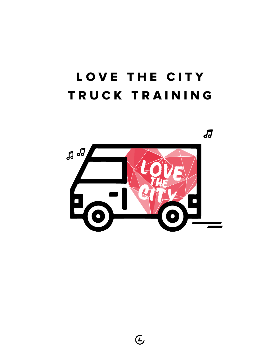# LOVE THE CITY T R U C K T R A I N I N G



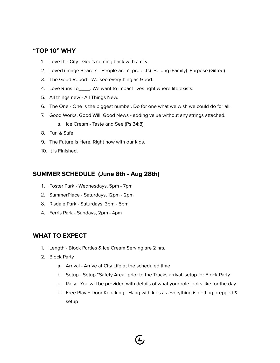#### **"TOP 10" WHY**

- 1. Love the City God's coming back with a city.
- 2. Loved (Image Bearers People aren't projects). Belong (Family). Purpose (Gifted).
- 3. The Good Report We see everything as Good.
- 4. Love Runs To\_\_\_\_\_. We want to impact lives right where life exists.
- 5. All things new All Things New.
- 6. The One One is the biggest number. Do for one what we wish we could do for all.
- 7. Good Works, Good Will, Good News adding value without any strings attached.
	- a. Ice Cream Taste and See (Ps 34:8)
- 8. Fun & Safe
- 9. The Future is Here. Right now with our kids.
- 10. It is Finished.

#### **SUMMER SCHEDULE (June 8th - Aug 28th)**

- 1. Foster Park Wednesdays, 5pm 7pm
- 2. SummerPlace Saturdays, 12pm 2pm
- 3. Risdale Park Saturdays, 3pm 5pm
- 4. Ferris Park Sundays, 2pm 4pm

#### **WHAT TO EXPECT**

- 1. Length Block Parties & Ice Cream Serving are 2 hrs.
- 2. Block Party
	- a. Arrival Arrive at City Life at the scheduled time
	- b. Setup Setup "Safety Area" prior to the Trucks arrival, setup for Block Party
	- c. Rally You will be provided with details of what your role looks like for the day
	- d. Free Play + Door Knocking Hang with kids as everything is getting prepped & setup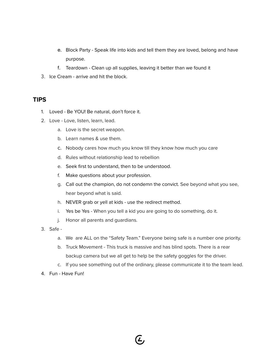- e. Block Party Speak life into kids and tell them they are loved, belong and have purpose.
- f. Teardown Clean up all supplies, leaving it better than we found it
- 3. Ice Cream arrive and hit the block.

#### **TIPS**

- 1. Loved Be YOU! Be natural, don't force it.
- 2. Love Love, listen, learn, lead.
	- a. Love is the secret weapon.
	- b. Learn names & use them.
	- c. Nobody cares how much you know till they know how much you care
	- d. Rules without relationship lead to rebellion
	- e. Seek first to understand, then to be understood.
	- f. Make questions about your profession.
	- g. Call out the champion, do not condemn the convict. See beyond what you see, hear beyond what is said.
	- h. NEVER grab or yell at kids use the redirect method.
	- i. Yes be Yes When you tell a kid you are going to do something, do it.
	- j. Honor all parents and guardians.
- 3. Safe
	- a. We are ALL on the "Safety Team." Everyone being safe is a number one priority.
	- b. Truck Movement This truck is massive and has blind spots. There is a rear backup camera but we all get to help be the safety goggles for the driver.

Œ,

- c. If you see something out of the ordinary, please communicate it to the team lead.
- 4. Fun Have Fun!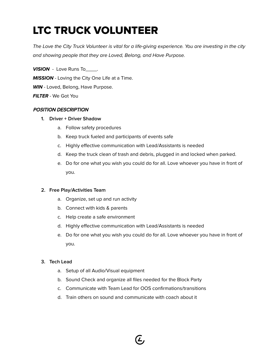## LTC TRUCK VOLUNTEER

The Love the City Truck Volunteer is vital for a life-giving experience. You are investing in the city and showing people that they are Loved, Belong, and Have Purpose.

**VISION** - Love Runs To\_\_\_\_. **MISSION** - Loving the City One Life at a Time. **WIN** - Loved, Belong, Have Purpose. **FILTER** - We Got You

#### POSITION DESCRIPTION

#### **1. Driver + Driver Shadow**

- a. Follow safety procedures
- b. Keep truck fueled and participants of events safe
- c. Highly effective communication with Lead/Assistants is needed
- d. Keep the truck clean of trash and debris, plugged in and locked when parked.
- e. Do for one what you wish you could do for all. Love whoever you have in front of you.

#### **2. Free Play/Activities Team**

- a. Organize, set up and run activity
- b. Connect with kids & parents
- c. Help create a safe environment
- d. Highly effective communication with Lead/Assistants is needed
- e. Do for one what you wish you could do for all. Love whoever you have in front of you.

#### **3. Tech Lead**

- a. Setup of all Audio/Visual equipment
- b. Sound Check and organize all files needed for the Block Party
- c. Communicate with Team Lead for OOS confirmations/transitions

Œ,

d. Train others on sound and communicate with coach about it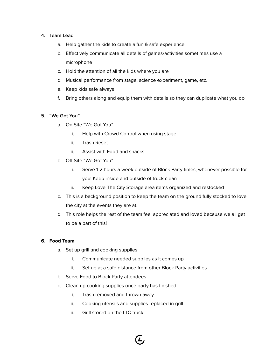#### **4. Team Lead**

- a. Help gather the kids to create a fun & safe experience
- b. Effectively communicate all details of games/activities sometimes use a microphone
- c. Hold the attention of all the kids where you are
- d. Musical performance from stage, science experiment, game, etc.
- e. Keep kids safe always
- f. Bring others along and equip them with details so they can duplicate what you do

#### **5. "We Got You"**

- a. On Site "We Got You"
	- i. Help with Crowd Control when using stage
	- ii. Trash Reset
	- iii. Assist with Food and snacks
- b. Off Site "We Got You"
	- i. Serve 1-2 hours a week outside of Block Party times, whenever possible for you! Keep inside and outside of truck clean
	- ii. Keep Love The City Storage area items organized and restocked
- c. This is a background position to keep the team on the ground fully stocked to love the city at the events they are at.
- d. This role helps the rest of the team feel appreciated and loved because we all get to be a part of this!

#### **6. Food Team**

- a. Set up grill and cooking supplies
	- i. Communicate needed supplies as it comes up
	- ii. Set up at a safe distance from other Block Party activities
- b. Serve Food to Block Party attendees
- c. Clean up cooking supplies once party has finished
	- i. Trash removed and thrown away
	- ii. Cooking utensils and supplies replaced in grill
	- iii. Grill stored on the LTC truck

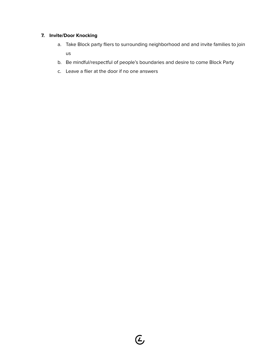#### **7. Invite/Door Knocking**

- a. Take Block party fliers to surrounding neighborhood and and invite families to join us
- b. Be mindful/respectful of people's boundaries and desire to come Block Party
- c. Leave a flier at the door if no one answers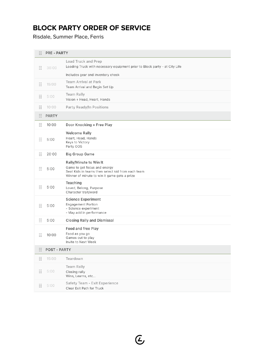## **BLOCK PARTY ORDER OF SERVICE**

Risdale, Summer Place, Ferris

| $\frac{1}{2}$                                                   | <b>PRE - PARTY</b>  |                                                                                                                                                             |  |
|-----------------------------------------------------------------|---------------------|-------------------------------------------------------------------------------------------------------------------------------------------------------------|--|
| $\frac{1}{2}$                                                   | 30:00               | Load Truck and Prep<br>Loading Truck with necessary equipment prior to Block party - at City Life                                                           |  |
|                                                                 |                     | Includes gear and inventory check                                                                                                                           |  |
| $\begin{array}{ccc} 0 & 0 \\ 0 & 0 \\ 0 & 0 \end{array}$        | 15:00               | <b>Team Arrival at Park</b><br>Team Arrival and Begin Set Up                                                                                                |  |
| $\frac{1}{2}$                                                   | 5:00                | Team Rally<br>Vision + Head, Heart, Hands                                                                                                                   |  |
| $\frac{1}{2}$                                                   | 10:00               | Party Ready/In Positions                                                                                                                                    |  |
| $\begin{array}{ccc} 0 & 0 \\ 0 & 0 \\ 0 & 0 \end{array}$        | <b>PARTY</b>        |                                                                                                                                                             |  |
| $\begin{array}{ccc} 0 & 0 \\ 0 & 0 \\ 0 & 0 \end{array}$        | 10:00               | Door Knocking + Free Play                                                                                                                                   |  |
| $\frac{1}{2}$                                                   | 5:00                | <b>Welcome Rally</b><br>Heart, Head, Hands<br>Keys to Victory<br>Party OOS                                                                                  |  |
| $\begin{array}{c} 0 & 0 \\ 0 & 0 \\ 0 & 0 \end{array}$          | 20:00               | <b>Big Group Game</b>                                                                                                                                       |  |
| $\vdots$                                                        | 5:00                | Rally/Minute to Win It<br>Game to get focus and energy<br>Seat Kids in teams then select kid from each team<br>Winner of minute to win it game gets a prize |  |
| $\frac{1}{2}$                                                   | 5:00                | Teaching<br>Loved, Belong, Purpose<br>Character trait/word                                                                                                  |  |
| $\begin{array}{cc} 0 & 0 \\ 0 & 0 \\ 0 & 0 \end{array}$         | 5:00                | <b>Science Experiment</b><br><b>Engagement Portion</b><br>- Science experiment<br>- May add in performance                                                  |  |
| $\frac{1}{2}$                                                   | 5:00                | <b>Closing Rally and Dismissal</b>                                                                                                                          |  |
| $\begin{smallmatrix} 0 & 0 \\ 0 & 0 \\ 0 & 0 \end{smallmatrix}$ | 10:00               | Food and free Play<br>Food as you go<br>Games out to play<br>Invite to Next Week                                                                            |  |
| $\frac{1}{2}$                                                   | <b>POST - PARTY</b> |                                                                                                                                                             |  |
| $\begin{array}{ccc} 0 & 0 \\ 0 & 0 \\ 0 & 0 \end{array}$        | 15:00               | Teardown                                                                                                                                                    |  |
| $\frac{1}{2}$                                                   | 5:00                | <b>Team Rally</b><br>Closing rally<br>Wins, Learns, etc                                                                                                     |  |
| $\begin{array}{ccc} 0 & 0 \\ 0 & 0 \\ 0 & 0 \end{array}$        | 5:00                | Safety Team - Exit Experience<br>Clear Exit Path for Truck                                                                                                  |  |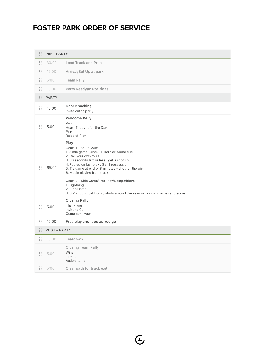## **FOSTER PARK ORDER OF SERVICE**

| H                                                                           | <b>PRE - PARTY</b>  |                                                                                                                                                                                                                                                                                                                                                                                                                                                   |  |
|-----------------------------------------------------------------------------|---------------------|---------------------------------------------------------------------------------------------------------------------------------------------------------------------------------------------------------------------------------------------------------------------------------------------------------------------------------------------------------------------------------------------------------------------------------------------------|--|
| $\begin{array}{c} \circ \\ \circ \\ \circ \\ \circ \end{array}$             | 30:00               | Load Truck and Prep                                                                                                                                                                                                                                                                                                                                                                                                                               |  |
| $\ddot{\cdot}$                                                              | 15:00               | Arrival/Set Up at park                                                                                                                                                                                                                                                                                                                                                                                                                            |  |
| $\frac{1}{2}$                                                               | 5:00                | <b>Team Rally</b>                                                                                                                                                                                                                                                                                                                                                                                                                                 |  |
| $\ddot{\cdot}$                                                              | 10:00               | Party Ready/In Positions                                                                                                                                                                                                                                                                                                                                                                                                                          |  |
| 8                                                                           | <b>PARTY</b>        |                                                                                                                                                                                                                                                                                                                                                                                                                                                   |  |
| $\begin{array}{ccc} 0 & 0 \\ 0 & 0 \\ 0 & 0 \end{array}$                    | 10:00               | Door Knocking<br>Invite out to party                                                                                                                                                                                                                                                                                                                                                                                                              |  |
| $\ddot{\phantom{a}}\phantom{a}\phantom{a}\phantom{a}\phantom{a}\phantom{a}$ | 5:00                | <b>Welcome Rally</b><br>Vision<br>Heart/Thought for the Day<br>Pray<br>Rules of Play                                                                                                                                                                                                                                                                                                                                                              |  |
| $\ddot{\ddot{\cdot}}$                                                       | 65:00               | Play<br>Court 1 - Adult Court<br>1. 8 min game (Clock) + Horn or sound cue<br>2. Call your own fouls<br>3. 30 seconds left or less : get a shot up<br>4. Fouled on last play : Get 1 possession<br>5. Tie game at end of 8 minutes - shot for the win<br>6. Music playing from truck<br>Court 2 - Kids Game/Free Play/Competitions<br>1. Lightning<br>2. Kids Game<br>3. 3 Point competition (5 shots around the key- write down names and score) |  |
| $\frac{1}{2}$                                                               | 5:00                | <b>Closing Rally</b><br>Thank you<br>Invite to CL<br>Come next week                                                                                                                                                                                                                                                                                                                                                                               |  |
| $\frac{1}{2}$                                                               | 10:00               | Free play and food as you go                                                                                                                                                                                                                                                                                                                                                                                                                      |  |
| $\frac{1}{2}$                                                               | <b>POST - PARTY</b> |                                                                                                                                                                                                                                                                                                                                                                                                                                                   |  |
| $\begin{array}{ccc} 0 & 0 \\ 0 & 0 \\ 0 & 0 \end{array}$                    | 10:00               | Teardown                                                                                                                                                                                                                                                                                                                                                                                                                                          |  |
| $\begin{array}{c} 0 & 0 \\ 0 & 0 \\ 0 & 0 \end{array}$                      | 5:00                | <b>Closing Team Rally</b><br>Wins<br>Learns<br><b>Action Items</b>                                                                                                                                                                                                                                                                                                                                                                                |  |
| $\frac{1}{2}$                                                               | 5:00                | Clear path for truck exit                                                                                                                                                                                                                                                                                                                                                                                                                         |  |